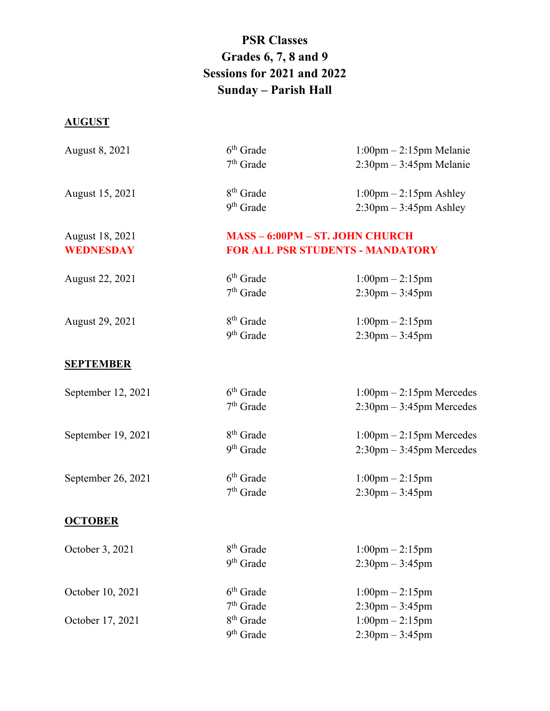## **PSR Classes Grades 6, 7, 8 and 9 Sessions for 2021 and 2022 Sunday – Parish Hall**

## **AUGUST**

| August 8, 2021     | $6th$ Grade                             | $1:00$ pm $-2:15$ pm Melanie               |
|--------------------|-----------------------------------------|--------------------------------------------|
|                    | $7th$ Grade                             | $2:30$ pm $-3:45$ pm Melanie               |
| August 15, 2021    | 8 <sup>th</sup> Grade                   |                                            |
|                    |                                         | $1:00 \text{pm} - 2:15 \text{pm}$ Ashley   |
|                    | 9 <sup>th</sup> Grade                   | $2:30 \text{pm} - 3:45 \text{pm}$ Ashley   |
| August 18, 2021    | <b>MASS - 6:00PM - ST. JOHN CHURCH</b>  |                                            |
| WEDNESDAY          | <b>FOR ALL PSR STUDENTS - MANDATORY</b> |                                            |
|                    | $6th$ Grade                             |                                            |
| August 22, 2021    |                                         | $1:00 \text{pm} - 2:15 \text{pm}$          |
|                    | $7th$ Grade                             | $2:30$ pm $-3:45$ pm                       |
| August 29, 2021    | 8 <sup>th</sup> Grade                   | $1:00 \text{pm} - 2:15 \text{pm}$          |
|                    | 9 <sup>th</sup> Grade                   | $2:30$ pm $-3:45$ pm                       |
|                    |                                         |                                            |
| <b>SEPTEMBER</b>   |                                         |                                            |
| September 12, 2021 | $6th$ Grade                             | $1:00 \text{pm} - 2:15 \text{pm Mercedes}$ |
|                    | $7th$ Grade                             | $2:30$ pm $-3:45$ pm Mercedes              |
|                    |                                         |                                            |
| September 19, 2021 | 8 <sup>th</sup> Grade                   | $1:00 \text{pm} - 2:15 \text{pm Mercedes}$ |
|                    | 9 <sup>th</sup> Grade                   | $2:30$ pm $-3:45$ pm Mercedes              |
|                    |                                         |                                            |
| September 26, 2021 | $6th$ Grade                             | $1:00$ pm $-2:15$ pm                       |
|                    | $7th$ Grade                             | $2:30$ pm $-3:45$ pm                       |
| <b>OCTOBER</b>     |                                         |                                            |
|                    |                                         |                                            |
| October 3, 2021    | $8^{\rm th}$ Grade                      | $1:00$ pm $-2:15$ pm                       |
|                    | $9th$ Grade                             | $2:30$ pm $-3:45$ pm                       |
| October 10, 2021   | $6th$ Grade                             | $1:00 \text{pm} - 2:15 \text{pm}$          |
|                    | $7th$ Grade                             | $2:30$ pm $-3:45$ pm                       |
| October 17, 2021   | $8th$ Grade                             | $1:00$ pm $-2:15$ pm                       |
|                    | 9 <sup>th</sup> Grade                   |                                            |
|                    |                                         | $2:30$ pm $-3:45$ pm                       |